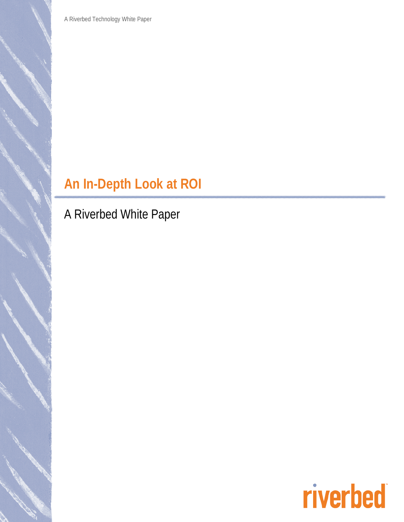A Riverbed Technology White Paper

# **An In-Depth Look at ROI**

A Riverbed White Paper

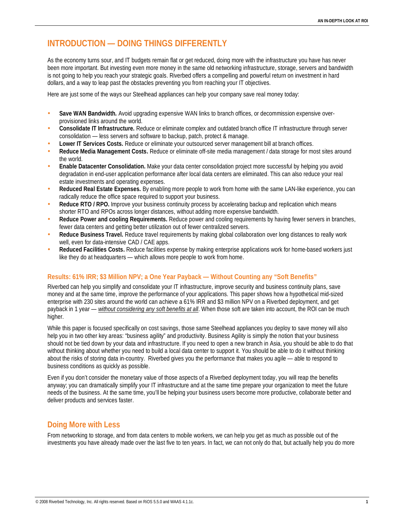# **INTRODUCTION — DOING THINGS DIFFERENTLY**

As the economy turns sour, and IT budgets remain flat or get reduced, doing more with the infrastructure you have has never been more important. But investing even more money in the same old networking infrastructure, storage, servers and bandwidth is not going to help you reach your strategic goals. Riverbed offers a compelling and powerful return on investment in hard dollars, and a way to leap past the obstacles preventing you from reaching your IT objectives.

Here are just some of the ways our Steelhead appliances can help your company save real money today:

- **Save WAN Bandwidth***.* Avoid upgrading expensive WAN links to branch offices, or decommission expensive overprovisioned links around the world.
- **Consolidate IT Infrastructure.** Reduce or eliminate complex and outdated branch office IT infrastructure through server consolidation — less servers and software to backup, patch, protect & manage.
- **Lower IT Services Costs.** Reduce or eliminate your outsourced server management bill at branch offices.
- **Reduce Media Management Costs.** Reduce or eliminate off-site media management / data storage for most sites around the world.
- **Enable Datacenter Consolidation.** Make your data center consolidation project more successful by helping you avoid degradation in end-user application performance after local data centers are eliminated. This can also reduce your real estate investments and operating expenses.
- **Reduced Real Estate Expenses.** By enabling more people to work from home with the same LAN-like experience, you can radically reduce the office space required to support your business.
- **Reduce RTO / RPO.** Improve your business continuity process by accelerating backup and replication which means shorter RTO and RPOs across longer distances, without adding more expensive bandwidth.
- **Reduce Power and cooling Requirements.** Reduce power and cooling requirements by having fewer servers in branches, fewer data centers and getting better utilization out of fewer centralized servers.
- **Reduce Business Travel.** Reduce travel requirements by making global collaboration over long distances to really work well, even for data-intensive CAD / CAE apps.
- **Reduced Facilities Costs.** Reduce facilities expense by making enterprise applications work for home-based workers just like they do at headquarters — which allows more people to work from home.

### **Results: 61% IRR; \$3 Million NPV; a One Year Payback — Without Counting any "Soft Benefits"**

Riverbed can help you simplify and consolidate your IT infrastructure, improve security and business continuity plans, save money and at the same time, improve the performance of your applications. This paper shows how a hypothetical mid-sized enterprise with 230 sites around the world can achieve a 61% IRR and \$3 million NPV on a Riverbed deployment, and get payback in 1 year — *without considering any soft benefits at all*. When those soft are taken into account, the ROI can be much higher.

While this paper is focused specifically on cost savings, those same Steelhead appliances you deploy to save money will also help you in two other key areas: "business agility" and productivity. Business Agility is simply the notion that your business should not be tied down by your data and infrastructure. If you need to open a new branch in Asia, you should be able to do that without thinking about whether you need to build a local data center to support it. You should be able to do it without thinking about the risks of storing data in-country. Riverbed gives you the performance that makes you agile — able to respond to business conditions as quickly as possible.

Even if you don't consider the monetary value of those aspects of a Riverbed deployment today, you will reap the benefits anyway; you can dramatically simplify your IT infrastructure and at the same time prepare your organization to meet the future needs of the business. At the same time, you'll be helping your business users become more productive, collaborate better and deliver products and services faster.

## **Doing More with Less**

From networking to storage, and from data centers to mobile workers, we can help you get as much as possible out of the investments you have already made over the last five to ten years. In fact, we can not only do that, but actually help you do more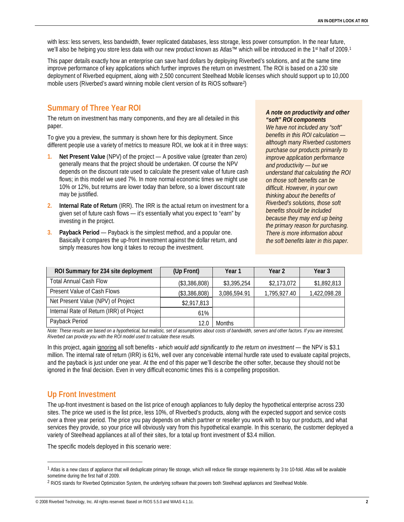with less: less servers, less bandwidth, fewer replicated databases, less storage, less power consumption. In the near future, we'll also be helping you store less data with our new product known as Atlas™ which will be introduced in the 1<sup>st</sup> half of 2009.<sup>1</sup>

This paper details exactly how an enterprise can save hard dollars by deploying Riverbed's solutions, and at the same time improve performance of key applications which further improves the return on investment. The ROI is based on a 230 site deployment of Riverbed equipment, along with 2,500 concurrent Steelhead Mobile licenses which should support up to 10,000 mobile users (Riverbed's award winning mobile client version of its RiOS software2)

# **Summary of Three Year ROI**

The return on investment has many components, and they are all detailed in this paper.

To give you a preview, the summary is shown here for this deployment. Since different people use a variety of metrics to measure ROI, we look at it in three ways:

- **1. Net Present Value** (NPV) of the project A positive value (greater than zero) generally means that the project should be undertaken. Of course the NPV depends on the discount rate used to calculate the present value of future cash flows; in this model we used 7%. In more normal economic times we might use 10% or 12%, but returns are lower today than before, so a lower discount rate may be justified.
- **2. Internal Rate of Return** (IRR). The IRR is the actual return on investment for a given set of future cash flows — it's essentially what you expect to "earn" by investing in the project.
- **3. Payback Period** Payback is the simplest method, and a popular one. Basically it compares the up-front investment against the dollar return, and simply measures how long it takes to recoup the investment.

#### *A note on productivity and other "soft" ROI components*

*We have not included any "soft" benefits in this ROI calculation although many Riverbed customers purchase our products primarily to improve application performance and productivity — but we understand that calculating the ROI on those soft benefits can be difficult. However, in your own thinking about the benefits of Riverbed's solutions, those soft benefits should be included because they may end up being the primary reason for purchasing. There is more information about the soft benefits later in this paper.*

| ROI Summary for 234 site deployment      | (Up Front)    | Year 1        | Year 2       | Year 3       |
|------------------------------------------|---------------|---------------|--------------|--------------|
| <b>Total Annual Cash Flow</b>            | (\$3,386,808) | \$3,395,254   | \$2,173,072  | \$1,892,813  |
| Present Value of Cash Flows              | (\$3,386,808) | 3,086,594.91  | 1,795,927.40 | 1,422,098.28 |
| Net Present Value (NPV) of Project       | \$2,917,813   |               |              |              |
| Internal Rate of Return (IRR) of Project | 61%           |               |              |              |
| Payback Period                           | 12.0          | <b>Months</b> |              |              |

*Note: These results are based on a hypothetical, but realistic, set of assumptions about costs of bandwidth, servers and other factors. If you are interested, Riverbed can provide you with the ROI model used to calculate these results.* 

In this project, again ignoring all soft benefits - *which would add significantly to the return on investment* — the NPV is \$3.1 million. The internal rate of return (IRR) is 61%, well over any conceivable internal hurdle rate used to evaluate capital projects, and the payback is just under one year. At the end of this paper we'll describe the other softer, because they should not be ignored in the final decision. Even in very difficult economic times this is a compelling proposition.

# **Up Front Investment**

The up-front investment is based on the list price of enough appliances to fully deploy the hypothetical enterprise across 230 sites. The price we used is the list price, less 10%, of Riverbed's products, along with the expected support and service costs over a three year period. The price you pay depends on which partner or reseller you work with to buy our products, and what services they provide, so your price will obviously vary from this hypothetical example. In this scenario, the customer deployed a variety of Steelhead appliances at all of their sites, for a total up front investment of \$3.4 million.

The specific models deployed in this scenario were:

<sup>&</sup>lt;sup>1</sup> Atlas is a new class of appliance that will deduplicate primary file storage, which will reduce file storage requirements by 3 to 10-fold. Atlas will be available sometime during the first half of 2009.

<sup>&</sup>lt;sup>2</sup> RiOS stands for Riverbed Optimization System, the underlying software that powers both Steelhead appliances and Steelhead Mobile.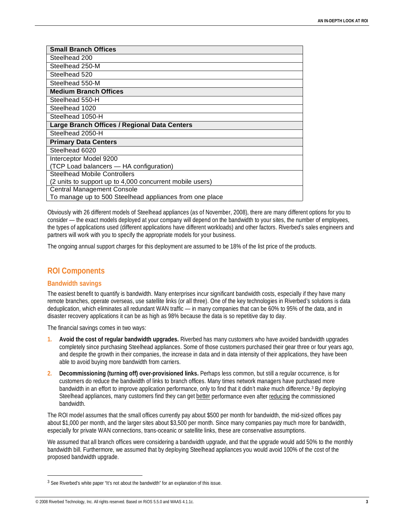| <b>Small Branch Offices</b>                              |  |  |  |
|----------------------------------------------------------|--|--|--|
| Steelhead 200                                            |  |  |  |
| Steelhead 250-M                                          |  |  |  |
| Steelhead 520                                            |  |  |  |
| Steelhead 550-M                                          |  |  |  |
| <b>Medium Branch Offices</b>                             |  |  |  |
| Steelhead 550-H                                          |  |  |  |
| Steelhead 1020                                           |  |  |  |
| Steelhead 1050-H                                         |  |  |  |
| Large Branch Offices / Regional Data Centers             |  |  |  |
| Steelhead 2050-H                                         |  |  |  |
| <b>Primary Data Centers</b>                              |  |  |  |
| Steelhead 6020                                           |  |  |  |
| Interceptor Model 9200                                   |  |  |  |
| (TCP Load balancers - HA configuration)                  |  |  |  |
| <b>Steelhead Mobile Controllers</b>                      |  |  |  |
| (2 units to support up to 4,000 concurrent mobile users) |  |  |  |
| <b>Central Management Console</b>                        |  |  |  |
| To manage up to 500 Steelhead appliances from one place  |  |  |  |

Obviously with 26 different models of Steelhead appliances (as of November, 2008), there are many different options for you to consider — the exact models deployed at your company will depend on the bandwidth to your sites, the number of employees, the types of applications used (different applications have different workloads) and other factors. Riverbed's sales engineers and partners will work with you to specify the appropriate models for your business.

The ongoing annual support charges for this deployment are assumed to be 18% of the list price of the products.

## **ROI Components**

#### **Bandwidth savings**

The easiest benefit to quantify is bandwidth. Many enterprises incur significant bandwidth costs, especially if they have many remote branches, operate overseas, use satellite links (or all three). One of the key technologies in Riverbed's solutions is data deduplication, which eliminates all redundant WAN traffic — in many companies that can be 60% to 95% of the data, and in disaster recovery applications it can be as high as 98% because the data is so repetitive day to day.

The financial savings comes in two ways:

- **1. Avoid the cost of regular bandwidth upgrades.** Riverbed has many customers who have avoided bandwidth upgrades completely since purchasing Steelhead appliances. Some of those customers purchased their gear three or four years ago, and despite the growth in their companies, the increase in data and in data intensity of their applications, they have been able to avoid buying more bandwidth from carriers.
- **2. Decommissioning (turning off) over-provisioned links.** Perhaps less common, but still a regular occurrence, is for customers do reduce the bandwidth of links to branch offices. Many times network managers have purchased more bandwidth in an effort to improve application performance, only to find that it didn't make much difference.3 By deploying Steelhead appliances, many customers find they can get better performance even after reducing the commissioned bandwidth.

The ROI model assumes that the small offices currently pay about \$500 per month for bandwidth, the mid-sized offices pay about \$1,000 per month, and the larger sites about \$3,500 per month. Since many companies pay much more for bandwidth, especially for private WAN connections, trans-oceanic or satellite links, these are conservative assumptions.

We assumed that all branch offices were considering a bandwidth upgrade, and that the upgrade would add 50% to the monthly bandwidth bill. Furthermore, we assumed that by deploying Steelhead appliances you would avoid 100% of the cost of the proposed bandwidth upgrade.

<sup>&</sup>lt;sup>3</sup> See Riverbed's white paper "It's not about the bandwidth" for an explanation of this issue.

<sup>© 2008</sup> Riverbed Technology, Inc. All rights reserved. Based on RiOS 5.5.0 and WAAS 4.1.1c. **3**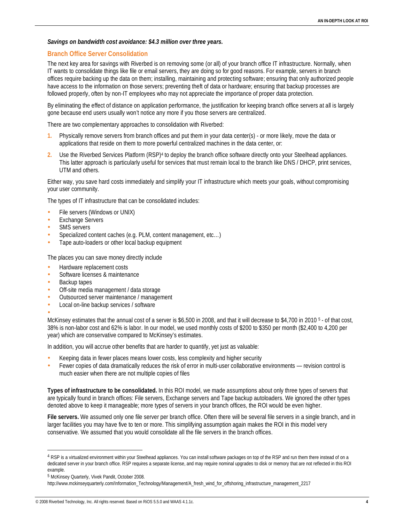#### *Savings on bandwidth cost avoidance: \$4.3 million over three years.*

#### **Branch Office Server Consolidation**

The next key area for savings with Riverbed is on removing some (or all) of your branch office IT infrastructure. Normally, when IT wants to consolidate things like file or email servers, they are doing so for good reasons. For example, servers in branch offices require backing up the data on them; installing, maintaining and protecting software; ensuring that only authorized people have access to the information on those servers; preventing theft of data or hardware; ensuring that backup processes are followed properly, often by non-IT employees who may not appreciate the importance of proper data protection.

By eliminating the effect of distance on application performance, the justification for keeping branch office servers at all is largely gone because end users usually won't notice any more if you those servers are centralized.

There are two complementary approaches to consolidation with Riverbed:

- **1.** Physically remove servers from branch offices and put them in your data center(s) or more likely, move the data or applications that reside on them to more powerful centralized machines in the data center, or:
- **2.** Use the Riverbed Services Platform (RSP)4 to deploy the branch office software directly onto your Steelhead appliances. This latter approach is particularly useful for services that must remain local to the branch like DNS / DHCP, print services, UTM and others.

Either way, you save hard costs immediately and simplify your IT infrastructure which meets your goals, without compromising your user community.

The types of IT infrastructure that can be consolidated includes:

- File servers (Windows or UNIX)
- **Exchange Servers**
- SMS servers
- Specialized content caches (e.g. PLM, content management, etc…)
- Tape auto-loaders or other local backup equipment

The places you can save money directly include

- Hardware replacement costs
- Software licenses & maintenance
- Backup tapes
- Off-site media management / data storage
- Outsourced server maintenance / management
- Local on-line backup services / software
- •

McKinsey estimates that the annual cost of a server is \$6,500 in 2008, and that it will decrease to \$4,700 in 2010 <sup>5</sup> - of that cost, 38% is non-labor cost and 62% is labor. In our model, we used monthly costs of \$200 to \$350 per month (\$2,400 to 4,200 per year) which are conservative compared to McKinsey's estimates.

In addition, you will accrue other benefits that are harder to quantify, yet just as valuable:

- Keeping data in fewer places means lower costs, less complexity and higher security
- Fewer copies of data dramatically reduces the risk of error in multi-user collaborative environments revision control is much easier when there are not multiple copies of files

**Types of infrastructure to be consolidated.** In this ROI model, we made assumptions about only three types of servers that are typically found in branch offices: File servers, Exchange servers and Tape backup autoloaders. We ignored the other types denoted above to keep it manageable; more types of servers in your branch offices, the ROI would be even higher.

**File servers.** We assumed only one file server per branch office. Often there will be several file servers in a single branch, and in larger facilities you may have five to ten or more. This simplifying assumption again makes the ROI in this model very conservative. We assumed that you would consolidate all the file servers in the branch offices.

<sup>4</sup> RSP is a virtualized environment within your Steelhead appliances. You can install software packages on top of the RSP and run them there instead of on a dedicated server in your branch office. RSP requires a separate license, and may require nominal upgrades to disk or memory that are not reflected in this ROI example.

<sup>5</sup> McKinsey Quarterly, Vivek Pandit, October 2008.

http://www.mckinseyquarterly.com/Information\_Technology/Management/A\_fresh\_wind\_for\_offshoring\_infrastructure\_management\_2217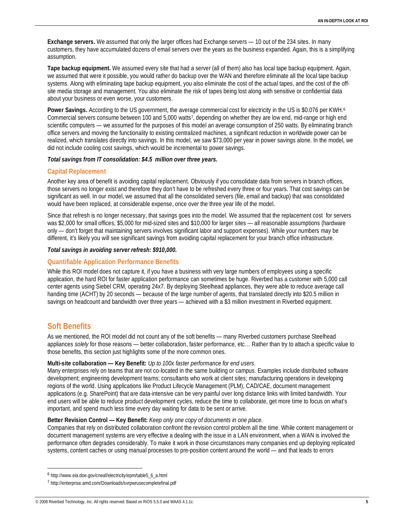**Exchange servers.** We assumed that only the larger offices had Exchange servers — 10 out of the 234 sites. In many customers, they have accumulated dozens of email servers over the years as the business expanded. Again, this is a simplifying assumption.

**Tape backup equipment.** We assumed every site that had a server (all of them) also has local tape backup equipment. Again, we assumed that were it possible, you would rather do backup over the WAN and therefore eliminate all the local tape backup systems. Along with eliminating tape backup equipment, you also eliminate the cost of the actual tapes, and the cost of the offsite media storage and management. You also eliminate the risk of tapes being lost along with sensitive or confidential data about your business or even worse, your customers.

Power Savings. According to the US government, the average commercial cost for electricity in the US is \$0.076 per KWH.<sup>6</sup> Commercial servers consume between 100 and 5,000 watts7, depending on whether they are low end, mid-range or high end scientific computers — we assumed for the purposes of this model an average consumption of 250 watts. By eliminating branch office servers and moving the functionality to existing centralized machines, a significant reduction in worldwide power can be realized, which translates directly into savings. In this model, we saw \$73,000 per year in power savings alone. In the model, we did not include cooling cost savings, which would be incremental to power savings.

#### *Total savings from IT consolidation: \$4.5 million over three years.*

#### **Capital Replacement**

Another key area of benefit is avoiding capital replacement. Obviously if you consolidate data from servers in branch offices, those servers no longer exist and therefore they don't have to be refreshed every three or four years. That cost savings can be significant as well. In our model, we assumed that all the consolidated servers (file, email and backup) that was consolidated would have been replaced, at considerable expense, once over the three year life of the model.

Since that refresh is no longer necessary, that savings goes into the model. We assumed that the replacement cost for servers was \$2,000 for small offices, \$5,000 for mid-sized sites and \$10,000 for larger sites — all reasonable assumptions (hardware only — don't forget that maintaining servers involves significant labor and support expenses). While your numbers may be different, it's likely you will see significant savings from avoiding capital replacement for your branch office infrastructure.

#### *Total savings in avoiding server refresh: \$910,000.*

#### **Quantifiable Application Performance Benefits**

While this ROI model does not capture it, if you have a business with very large numbers of employees using a specific application, the hard ROI for faster application performance can sometimes be huge. Riverbed has a customer with 5,000 call center agents using Siebel CRM, operating 24x7. By deploying Steelhead appliances, they were able to reduce average call handing time (ACHT) by 20 seconds — because of the large number of agents, that translated directly into \$20.5 million in savings on headcount and bandwidth over three years — achieved with a \$3 million investment in Riverbed equipment.

## **Soft Benefits**

As we mentioned, the ROI model did not count any of the soft benefits — many Riverbed customers purchase Steelhead appliances *solely* for those reasons — better collaboration, faster performance, etc… Rather than try to attach a specific value to those benefits, this section just highlights some of the more common ones.

#### **Multi-site collaboration — Key Benefit:** *Up to 100x faster performance for end users.*

Many enterprises rely on teams that are not co-located in the same building or campus. Examples include distributed software development; engineering development teams; consultants who work at client sites; manufacturing operations in developing regions of the world. Using applications like Product Lifecycle Management (PLM), CAD/CAE, document management applications (e.g. SharePoint) that are data-intensive can be very painful over long distance links with limited bandwidth. Your end users will be able to reduce product development cycles, reduce the time to collaborate, get more time to focus on what's important, and spend much less time every day waiting for data to be sent or arrive.

#### **Better Revision Control — Key Benefit:** *Keep only one copy of documents in one place.*

Companies that rely on distributed collaboration confront the revision control problem all the time. While content management or document management systems are very effective a dealing with the issue in a LAN environment, when a WAN is involved the performance often degrades considerably. To make it work in those circumstances many companies end up deploying replicated systems, content caches or using manual processes to pre-position content around the world — and that leads to errors

 <sup>6</sup> http://www.eia.doe.gov/cneaf/electricity/epm/table5\_6\_a.html

<sup>7</sup> http://enterprise.amd.com/Downloads/svrpwrusecompletefinal.pdf